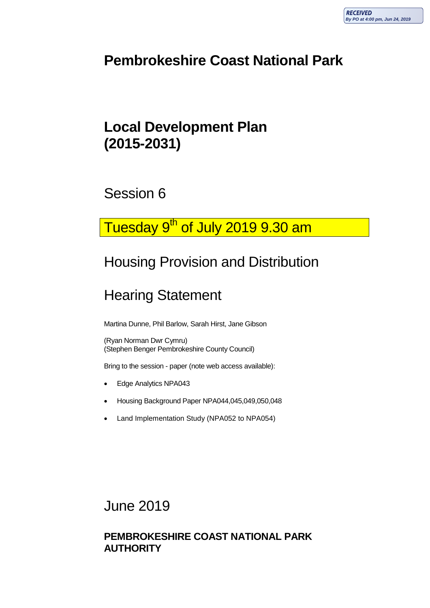### **Pembrokeshire Coast National Park**

### **Local Development Plan (2015-2031)**

Session 6

# Tuesday 9<sup>th</sup> of July 2019 9.30 am

# Housing Provision and Distribution

# Hearing Statement

Martina Dunne, Phil Barlow, Sarah Hirst, Jane Gibson

(Ryan Norman Dwr Cymru) (Stephen Benger Pembrokeshire County Council)

Bring to the session - paper (note web access available):

- Edge Analytics NPA043
- Housing Background Paper NPA044,045,049,050,048
- Land Implementation Study (NPA052 to NPA054)

June 2019

#### **PEMBROKESHIRE COAST NATIONAL PARK AUTHORITY**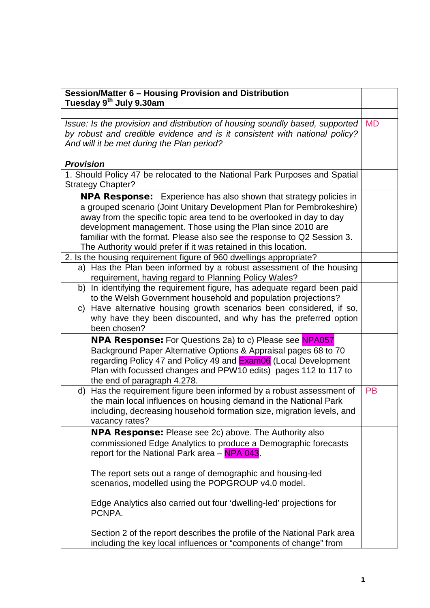| Session/Matter 6 - Housing Provision and Distribution<br>Tuesday 9th July 9.30am                                                                                                                                                                                                                                                                                                                                                        |           |  |  |
|-----------------------------------------------------------------------------------------------------------------------------------------------------------------------------------------------------------------------------------------------------------------------------------------------------------------------------------------------------------------------------------------------------------------------------------------|-----------|--|--|
|                                                                                                                                                                                                                                                                                                                                                                                                                                         |           |  |  |
| Issue: Is the provision and distribution of housing soundly based, supported                                                                                                                                                                                                                                                                                                                                                            |           |  |  |
| by robust and credible evidence and is it consistent with national policy?                                                                                                                                                                                                                                                                                                                                                              |           |  |  |
| And will it be met during the Plan period?                                                                                                                                                                                                                                                                                                                                                                                              |           |  |  |
|                                                                                                                                                                                                                                                                                                                                                                                                                                         |           |  |  |
| <b>Provision</b>                                                                                                                                                                                                                                                                                                                                                                                                                        |           |  |  |
| 1. Should Policy 47 be relocated to the National Park Purposes and Spatial                                                                                                                                                                                                                                                                                                                                                              |           |  |  |
| <b>Strategy Chapter?</b>                                                                                                                                                                                                                                                                                                                                                                                                                |           |  |  |
| <b>NPA Response:</b> Experience has also shown that strategy policies in<br>a grouped scenario (Joint Unitary Development Plan for Pembrokeshire)<br>away from the specific topic area tend to be overlooked in day to day<br>development management. Those using the Plan since 2010 are<br>familiar with the format. Please also see the response to Q2 Session 3.<br>The Authority would prefer if it was retained in this location. |           |  |  |
| 2. Is the housing requirement figure of 960 dwellings appropriate?                                                                                                                                                                                                                                                                                                                                                                      |           |  |  |
| a) Has the Plan been informed by a robust assessment of the housing<br>requirement, having regard to Planning Policy Wales?                                                                                                                                                                                                                                                                                                             |           |  |  |
| b) In identifying the requirement figure, has adequate regard been paid<br>to the Welsh Government household and population projections?                                                                                                                                                                                                                                                                                                |           |  |  |
| Have alternative housing growth scenarios been considered, if so,<br>C)<br>why have they been discounted, and why has the preferred option<br>been chosen?                                                                                                                                                                                                                                                                              |           |  |  |
| <b>NPA Response:</b> For Questions 2a) to c) Please see NPA057                                                                                                                                                                                                                                                                                                                                                                          |           |  |  |
| Background Paper Alternative Options & Appraisal pages 68 to 70<br>regarding Policy 47 and Policy 49 and <b>Exam06</b> (Local Development<br>Plan with focussed changes and PPW10 edits) pages 112 to 117 to<br>the end of paragraph 4.278.                                                                                                                                                                                             |           |  |  |
| Has the requirement figure been informed by a robust assessment of<br>d)<br>the main local influences on housing demand in the National Park<br>including, decreasing household formation size, migration levels, and<br>vacancy rates?                                                                                                                                                                                                 | <b>PB</b> |  |  |
| NPA Response: Please see 2c) above. The Authority also                                                                                                                                                                                                                                                                                                                                                                                  |           |  |  |
| commissioned Edge Analytics to produce a Demographic forecasts<br>report for the National Park area - NPA 043.                                                                                                                                                                                                                                                                                                                          |           |  |  |
| The report sets out a range of demographic and housing-led<br>scenarios, modelled using the POPGROUP v4.0 model.                                                                                                                                                                                                                                                                                                                        |           |  |  |
| Edge Analytics also carried out four 'dwelling-led' projections for<br>PCNPA.                                                                                                                                                                                                                                                                                                                                                           |           |  |  |
| Section 2 of the report describes the profile of the National Park area<br>including the key local influences or "components of change" from                                                                                                                                                                                                                                                                                            |           |  |  |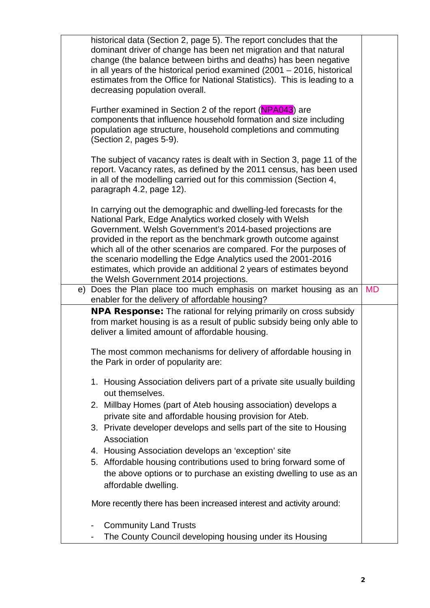| historical data (Section 2, page 5). The report concludes that the<br>dominant driver of change has been net migration and that natural<br>change (the balance between births and deaths) has been negative<br>in all years of the historical period examined $(2001 - 2016)$ , historical<br>estimates from the Office for National Statistics). This is leading to a<br>decreasing population overall.                                                                                                           |  |  |
|--------------------------------------------------------------------------------------------------------------------------------------------------------------------------------------------------------------------------------------------------------------------------------------------------------------------------------------------------------------------------------------------------------------------------------------------------------------------------------------------------------------------|--|--|
| Further examined in Section 2 of the report (NPA043) are<br>components that influence household formation and size including<br>population age structure, household completions and commuting<br>(Section 2, pages 5-9).                                                                                                                                                                                                                                                                                           |  |  |
| The subject of vacancy rates is dealt with in Section 3, page 11 of the<br>report. Vacancy rates, as defined by the 2011 census, has been used<br>in all of the modelling carried out for this commission (Section 4,<br>paragraph 4.2, page 12).                                                                                                                                                                                                                                                                  |  |  |
| In carrying out the demographic and dwelling-led forecasts for the<br>National Park, Edge Analytics worked closely with Welsh<br>Government. Welsh Government's 2014-based projections are<br>provided in the report as the benchmark growth outcome against<br>which all of the other scenarios are compared. For the purposes of<br>the scenario modelling the Edge Analytics used the 2001-2016<br>estimates, which provide an additional 2 years of estimates beyond<br>the Welsh Government 2014 projections. |  |  |
| e) Does the Plan place too much emphasis on market housing as an<br>enabler for the delivery of affordable housing?                                                                                                                                                                                                                                                                                                                                                                                                |  |  |
| <b>NPA Response:</b> The rational for relying primarily on cross subsidy<br>from market housing is as a result of public subsidy being only able to<br>deliver a limited amount of affordable housing.                                                                                                                                                                                                                                                                                                             |  |  |
| The most common mechanisms for delivery of affordable housing in<br>the Park in order of popularity are:                                                                                                                                                                                                                                                                                                                                                                                                           |  |  |
| 1. Housing Association delivers part of a private site usually building<br>out themselves.                                                                                                                                                                                                                                                                                                                                                                                                                         |  |  |
| 2. Millbay Homes (part of Ateb housing association) develops a                                                                                                                                                                                                                                                                                                                                                                                                                                                     |  |  |
| private site and affordable housing provision for Ateb.<br>3. Private developer develops and sells part of the site to Housing<br>Association                                                                                                                                                                                                                                                                                                                                                                      |  |  |
| 4. Housing Association develops an 'exception' site                                                                                                                                                                                                                                                                                                                                                                                                                                                                |  |  |
| 5. Affordable housing contributions used to bring forward some of<br>the above options or to purchase an existing dwelling to use as an<br>affordable dwelling.                                                                                                                                                                                                                                                                                                                                                    |  |  |
| More recently there has been increased interest and activity around:                                                                                                                                                                                                                                                                                                                                                                                                                                               |  |  |
| <b>Community Land Trusts</b>                                                                                                                                                                                                                                                                                                                                                                                                                                                                                       |  |  |
| The County Council developing housing under its Housing                                                                                                                                                                                                                                                                                                                                                                                                                                                            |  |  |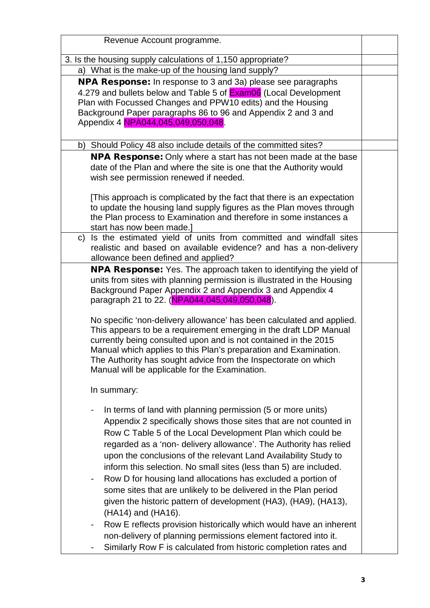| Revenue Account programme.                                                                                                                                                                                                                                                                                                                                                                                                                                                                                                                                                                                             |  |  |
|------------------------------------------------------------------------------------------------------------------------------------------------------------------------------------------------------------------------------------------------------------------------------------------------------------------------------------------------------------------------------------------------------------------------------------------------------------------------------------------------------------------------------------------------------------------------------------------------------------------------|--|--|
| 3. Is the housing supply calculations of 1,150 appropriate?                                                                                                                                                                                                                                                                                                                                                                                                                                                                                                                                                            |  |  |
| a) What is the make-up of the housing land supply?                                                                                                                                                                                                                                                                                                                                                                                                                                                                                                                                                                     |  |  |
| <b>NPA Response:</b> In response to 3 and 3a) please see paragraphs<br>4.279 and bullets below and Table 5 of <b>Exam06</b> (Local Development<br>Plan with Focussed Changes and PPW10 edits) and the Housing<br>Background Paper paragraphs 86 to 96 and Appendix 2 and 3 and<br>Appendix 4 NPA044,045,049,050,048.                                                                                                                                                                                                                                                                                                   |  |  |
| b) Should Policy 48 also include details of the committed sites?                                                                                                                                                                                                                                                                                                                                                                                                                                                                                                                                                       |  |  |
| <b>NPA Response:</b> Only where a start has not been made at the base<br>date of the Plan and where the site is one that the Authority would<br>wish see permission renewed if needed.                                                                                                                                                                                                                                                                                                                                                                                                                                 |  |  |
| [This approach is complicated by the fact that there is an expectation<br>to update the housing land supply figures as the Plan moves through<br>the Plan process to Examination and therefore in some instances a<br>start has now been made.]                                                                                                                                                                                                                                                                                                                                                                        |  |  |
| Is the estimated yield of units from committed and windfall sites<br>C)<br>realistic and based on available evidence? and has a non-delivery<br>allowance been defined and applied?                                                                                                                                                                                                                                                                                                                                                                                                                                    |  |  |
| <b>NPA Response:</b> Yes. The approach taken to identifying the yield of<br>units from sites with planning permission is illustrated in the Housing<br>Background Paper Appendix 2 and Appendix 3 and Appendix 4<br>paragraph 21 to 22. (NPA044,045,049,050,048).<br>No specific 'non-delivery allowance' has been calculated and applied.                                                                                                                                                                                                                                                                             |  |  |
| This appears to be a requirement emerging in the draft LDP Manual<br>currently being consulted upon and is not contained in the 2015<br>Manual which applies to this Plan's preparation and Examination.<br>The Authority has sought advice from the Inspectorate on which<br>Manual will be applicable for the Examination.                                                                                                                                                                                                                                                                                           |  |  |
| In summary:                                                                                                                                                                                                                                                                                                                                                                                                                                                                                                                                                                                                            |  |  |
| In terms of land with planning permission (5 or more units)<br>Appendix 2 specifically shows those sites that are not counted in<br>Row C Table 5 of the Local Development Plan which could be<br>regarded as a 'non- delivery allowance'. The Authority has relied<br>upon the conclusions of the relevant Land Availability Study to<br>inform this selection. No small sites (less than 5) are included.<br>Row D for housing land allocations has excluded a portion of<br>۰<br>some sites that are unlikely to be delivered in the Plan period<br>given the historic pattern of development (HA3), (HA9), (HA13), |  |  |
| (HA14) and (HA16).<br>Row E reflects provision historically which would have an inherent<br>٠<br>non-delivery of planning permissions element factored into it.<br>Similarly Row F is calculated from historic completion rates and                                                                                                                                                                                                                                                                                                                                                                                    |  |  |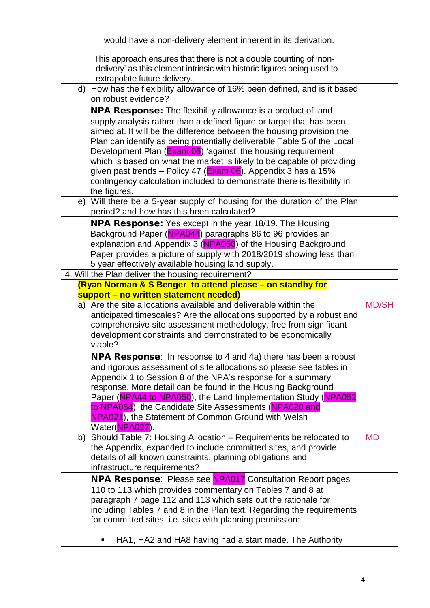| would have a non-delivery element inherent in its derivation.                                                                                                                                                                                                                                                                                                                                               |              |  |
|-------------------------------------------------------------------------------------------------------------------------------------------------------------------------------------------------------------------------------------------------------------------------------------------------------------------------------------------------------------------------------------------------------------|--------------|--|
| This approach ensures that there is not a double counting of 'non-<br>delivery' as this element intrinsic with historic figures being used to<br>extrapolate future delivery.                                                                                                                                                                                                                               |              |  |
| d) How has the flexibility allowance of 16% been defined, and is it based<br>on robust evidence?                                                                                                                                                                                                                                                                                                            |              |  |
| <b>NPA Response:</b> The flexibility allowance is a product of land                                                                                                                                                                                                                                                                                                                                         |              |  |
| supply analysis rather than a defined figure or target that has been<br>aimed at. It will be the difference between the housing provision the<br>Plan can identify as being potentially deliverable Table 5 of the Local<br>Development Plan (Exam 06) 'against' the housing requirement                                                                                                                    |              |  |
| which is based on what the market is likely to be capable of providing<br>given past trends – Policy 47 (Exam 06). Appendix 3 has a 15%                                                                                                                                                                                                                                                                     |              |  |
| contingency calculation included to demonstrate there is flexibility in<br>the figures.                                                                                                                                                                                                                                                                                                                     |              |  |
| Will there be a 5-year supply of housing for the duration of the Plan<br>e)<br>period? and how has this been calculated?                                                                                                                                                                                                                                                                                    |              |  |
| <b>NPA Response:</b> Yes except in the year 18/19. The Housing<br>Background Paper (NPA044) paragraphs 86 to 96 provides an<br>explanation and Appendix 3 (NPA050) of the Housing Background<br>Paper provides a picture of supply with 2018/2019 showing less than<br>5 year effectively available housing land supply.                                                                                    |              |  |
| 4. Will the Plan deliver the housing requirement?<br>(Ryan Norman & S Benger to attend please - on standby for                                                                                                                                                                                                                                                                                              |              |  |
| support - no written statement needed)                                                                                                                                                                                                                                                                                                                                                                      |              |  |
| a) Are the site allocations available and deliverable within the<br>anticipated timescales? Are the allocations supported by a robust and<br>comprehensive site assessment methodology, free from significant<br>development constraints and demonstrated to be economically<br>viable?                                                                                                                     | <b>MD/SH</b> |  |
| NPA Response: In response to 4 and 4a) there has been a robust                                                                                                                                                                                                                                                                                                                                              |              |  |
| and rigorous assessment of site allocations so please see tables in<br>Appendix 1 to Session 8 of the NPA's response for a summary<br>response. More detail can be found in the Housing Background<br>Paper (NPA44 to NPA050), the Land Implementation Study (NPA052<br>to NPA054), the Candidate Site Assessments (NPA020 and<br>NPA021), the Statement of Common Ground with Welsh                        |              |  |
| Water(NPA027).                                                                                                                                                                                                                                                                                                                                                                                              |              |  |
| Should Table 7: Housing Allocation - Requirements be relocated to<br>b)<br>the Appendix, expanded to include committed sites, and provide<br>details of all known constraints, planning obligations and<br>infrastructure requirements?                                                                                                                                                                     | <b>MD</b>    |  |
| <b>NPA Response:</b> Please see <b>NPA017</b> Consultation Report pages<br>110 to 113 which provides commentary on Tables 7 and 8 at<br>paragraph 7 page 112 and 113 which sets out the rationale for<br>including Tables 7 and 8 in the Plan text. Regarding the requirements<br>for committed sites, i.e. sites with planning permission:<br>HA1, HA2 and HA8 having had a start made. The Authority<br>п |              |  |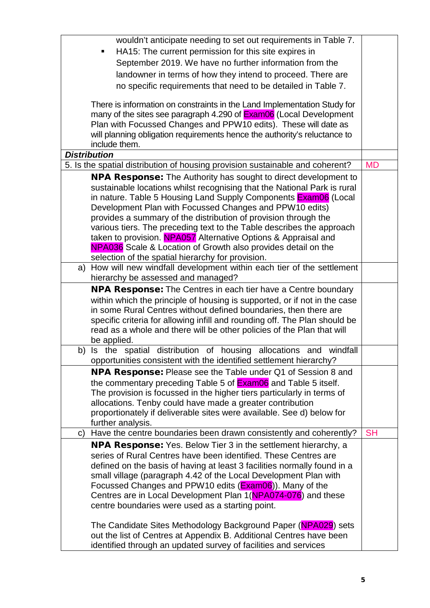|                                                                           | wouldn't anticipate needing to set out requirements in Table 7.                                                                 |           |  |
|---------------------------------------------------------------------------|---------------------------------------------------------------------------------------------------------------------------------|-----------|--|
|                                                                           | HA15: The current permission for this site expires in                                                                           |           |  |
|                                                                           | September 2019. We have no further information from the                                                                         |           |  |
|                                                                           | landowner in terms of how they intend to proceed. There are                                                                     |           |  |
|                                                                           |                                                                                                                                 |           |  |
| no specific requirements that need to be detailed in Table 7.             |                                                                                                                                 |           |  |
| There is information on constraints in the Land Implementation Study for  |                                                                                                                                 |           |  |
| many of the sites see paragraph 4.290 of <b>Exam06</b> (Local Development |                                                                                                                                 |           |  |
|                                                                           | Plan with Focussed Changes and PPW10 edits). These will date as                                                                 |           |  |
|                                                                           | will planning obligation requirements hence the authority's reluctance to                                                       |           |  |
|                                                                           | include them.                                                                                                                   |           |  |
|                                                                           | <b>Distribution</b>                                                                                                             | <b>MD</b> |  |
|                                                                           | 5. Is the spatial distribution of housing provision sustainable and coherent?                                                   |           |  |
|                                                                           | <b>NPA Response:</b> The Authority has sought to direct development to                                                          |           |  |
|                                                                           | sustainable locations whilst recognising that the National Park is rural                                                        |           |  |
|                                                                           | in nature. Table 5 Housing Land Supply Components <b>Exam06</b> (Local                                                          |           |  |
|                                                                           | Development Plan with Focussed Changes and PPW10 edits)                                                                         |           |  |
|                                                                           | provides a summary of the distribution of provision through the                                                                 |           |  |
|                                                                           | various tiers. The preceding text to the Table describes the approach                                                           |           |  |
|                                                                           | taken to provision. NPA057 Alternative Options & Appraisal and<br>NPA036 Scale & Location of Growth also provides detail on the |           |  |
|                                                                           | selection of the spatial hierarchy for provision.                                                                               |           |  |
|                                                                           | How will new windfall development within each tier of the settlement                                                            |           |  |
|                                                                           | a)<br>hierarchy be assessed and managed?                                                                                        |           |  |
|                                                                           | NPA Response: The Centres in each tier have a Centre boundary                                                                   |           |  |
|                                                                           | within which the principle of housing is supported, or if not in the case                                                       |           |  |
|                                                                           | in some Rural Centres without defined boundaries, then there are                                                                |           |  |
|                                                                           | specific criteria for allowing infill and rounding off. The Plan should be                                                      |           |  |
|                                                                           | read as a whole and there will be other policies of the Plan that will                                                          |           |  |
|                                                                           | be applied.                                                                                                                     |           |  |
|                                                                           | b) Is the spatial distribution of housing allocations and<br>windfall                                                           |           |  |
|                                                                           | opportunities consistent with the identified settlement hierarchy?                                                              |           |  |
|                                                                           | <b>NPA Response:</b> Please see the Table under Q1 of Session 8 and                                                             |           |  |
|                                                                           | the commentary preceding Table 5 of <b>Exam06</b> and Table 5 itself.                                                           |           |  |
|                                                                           | The provision is focussed in the higher tiers particularly in terms of                                                          |           |  |
|                                                                           | allocations. Tenby could have made a greater contribution                                                                       |           |  |
|                                                                           | proportionately if deliverable sites were available. See d) below for                                                           |           |  |
|                                                                           | further analysis.                                                                                                               |           |  |
| C)                                                                        | Have the centre boundaries been drawn consistently and coherently?                                                              | <b>SH</b> |  |
|                                                                           | <b>NPA Response:</b> Yes. Below Tier 3 in the settlement hierarchy, a                                                           |           |  |
|                                                                           | series of Rural Centres have been identified. These Centres are                                                                 |           |  |
|                                                                           | defined on the basis of having at least 3 facilities normally found in a                                                        |           |  |
|                                                                           | small village (paragraph 4.42 of the Local Development Plan with                                                                |           |  |
|                                                                           | Focussed Changes and PPW10 edits (Exam06)). Many of the                                                                         |           |  |
|                                                                           | Centres are in Local Development Plan 1(NPA074-076) and these                                                                   |           |  |
|                                                                           | centre boundaries were used as a starting point.                                                                                |           |  |
|                                                                           | The Candidate Sites Methodology Background Paper (NPA029) sets                                                                  |           |  |
|                                                                           | out the list of Centres at Appendix B. Additional Centres have been                                                             |           |  |
|                                                                           | identified through an updated survey of facilities and services                                                                 |           |  |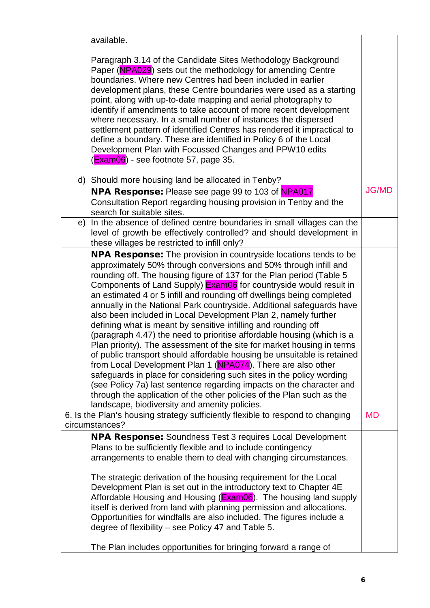| available.                                                                                                                                                                                                                                                                                                                                                                                                                                                                                                                                                                                                                                                                                                                                                                                                                                                                                                                                                                                                                                                                                                                                                     |              |
|----------------------------------------------------------------------------------------------------------------------------------------------------------------------------------------------------------------------------------------------------------------------------------------------------------------------------------------------------------------------------------------------------------------------------------------------------------------------------------------------------------------------------------------------------------------------------------------------------------------------------------------------------------------------------------------------------------------------------------------------------------------------------------------------------------------------------------------------------------------------------------------------------------------------------------------------------------------------------------------------------------------------------------------------------------------------------------------------------------------------------------------------------------------|--------------|
| Paragraph 3.14 of the Candidate Sites Methodology Background<br>Paper (NPA029) sets out the methodology for amending Centre<br>boundaries. Where new Centres had been included in earlier<br>development plans, these Centre boundaries were used as a starting<br>point, along with up-to-date mapping and aerial photography to<br>identify if amendments to take account of more recent development<br>where necessary. In a small number of instances the dispersed<br>settlement pattern of identified Centres has rendered it impractical to<br>define a boundary. These are identified in Policy 6 of the Local<br>Development Plan with Focussed Changes and PPW10 edits<br>(Exam06) - see footnote 57, page 35.                                                                                                                                                                                                                                                                                                                                                                                                                                       |              |
| d) Should more housing land be allocated in Tenby?                                                                                                                                                                                                                                                                                                                                                                                                                                                                                                                                                                                                                                                                                                                                                                                                                                                                                                                                                                                                                                                                                                             |              |
| <b>NPA Response:</b> Please see page 99 to 103 of NPA017<br>Consultation Report regarding housing provision in Tenby and the<br>search for suitable sites.                                                                                                                                                                                                                                                                                                                                                                                                                                                                                                                                                                                                                                                                                                                                                                                                                                                                                                                                                                                                     | <b>JG/MD</b> |
| In the absence of defined centre boundaries in small villages can the<br>e)<br>level of growth be effectively controlled? and should development in<br>these villages be restricted to infill only?                                                                                                                                                                                                                                                                                                                                                                                                                                                                                                                                                                                                                                                                                                                                                                                                                                                                                                                                                            |              |
| <b>NPA Response:</b> The provision in countryside locations tends to be                                                                                                                                                                                                                                                                                                                                                                                                                                                                                                                                                                                                                                                                                                                                                                                                                                                                                                                                                                                                                                                                                        |              |
| approximately 50% through conversions and 50% through infill and<br>rounding off. The housing figure of 137 for the Plan period (Table 5<br>Components of Land Supply) Exam06 for countryside would result in<br>an estimated 4 or 5 infill and rounding off dwellings being completed<br>annually in the National Park countryside. Additional safeguards have<br>also been included in Local Development Plan 2, namely further<br>defining what is meant by sensitive infilling and rounding off<br>(paragraph 4.47) the need to prioritise affordable housing (which is a<br>Plan priority). The assessment of the site for market housing in terms<br>of public transport should affordable housing be unsuitable is retained<br>from Local Development Plan 1 (NPA074). There are also other<br>safeguards in place for considering such sites in the policy wording<br>(see Policy 7a) last sentence regarding impacts on the character and<br>through the application of the other policies of the Plan such as the<br>landscape, biodiversity and amenity policies.<br>6. Is the Plan's housing strategy sufficiently flexible to respond to changing | <b>MD</b>    |
| circumstances?                                                                                                                                                                                                                                                                                                                                                                                                                                                                                                                                                                                                                                                                                                                                                                                                                                                                                                                                                                                                                                                                                                                                                 |              |
| NPA Response: Soundness Test 3 requires Local Development<br>Plans to be sufficiently flexible and to include contingency<br>arrangements to enable them to deal with changing circumstances.<br>The strategic derivation of the housing requirement for the Local<br>Development Plan is set out in the introductory text to Chapter 4E<br>Affordable Housing and Housing (Exam06). The housing land supply<br>itself is derived from land with planning permission and allocations.<br>Opportunities for windfalls are also included. The figures include a<br>degree of flexibility - see Policy 47 and Table 5.                                                                                                                                                                                                                                                                                                                                                                                                                                                                                                                                            |              |
| The Plan includes opportunities for bringing forward a range of                                                                                                                                                                                                                                                                                                                                                                                                                                                                                                                                                                                                                                                                                                                                                                                                                                                                                                                                                                                                                                                                                                |              |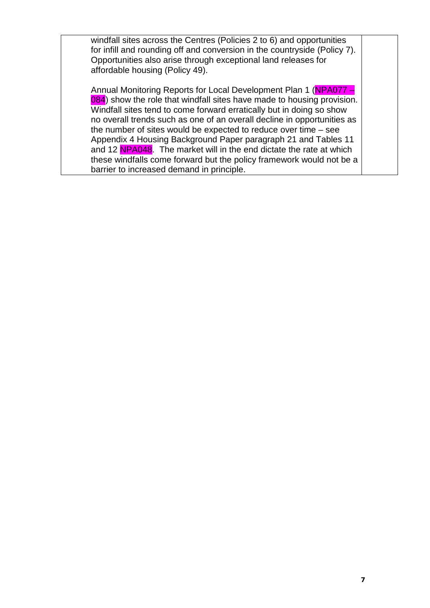windfall sites across the Centres (Policies 2 to 6) and opportunities for infill and rounding off and conversion in the countryside (Policy 7). Opportunities also arise through exceptional land releases for affordable housing (Policy 49).

Annual Monitoring Reports for Local Development Plan 1 (NPA077 – 084) show the role that windfall sites have made to housing provision. Windfall sites tend to come forward erratically but in doing so show no overall trends such as one of an overall decline in opportunities as the number of sites would be expected to reduce over time – see Appendix 4 Housing Background Paper paragraph 21 and Tables 11 and 12 NPA048. The market will in the end dictate the rate at which these windfalls come forward but the policy framework would not be a barrier to increased demand in principle.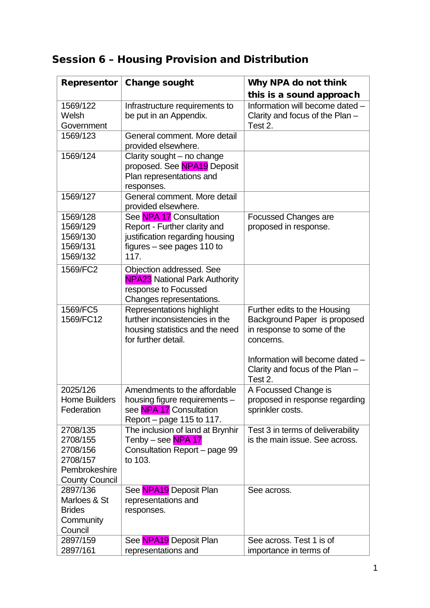#### Session 6 – Housing Provision and Distribution

| Representor                                                                            | <b>Change sought</b>                                                                                                               | Why NPA do not think                                                                                                                       |
|----------------------------------------------------------------------------------------|------------------------------------------------------------------------------------------------------------------------------------|--------------------------------------------------------------------------------------------------------------------------------------------|
|                                                                                        |                                                                                                                                    | this is a sound approach                                                                                                                   |
| 1569/122<br>Welsh<br>Government                                                        | Infrastructure requirements to<br>be put in an Appendix.                                                                           | Information will become dated -<br>Clarity and focus of the Plan $-$<br>Test 2.                                                            |
| 1569/123                                                                               | General comment. More detail<br>provided elsewhere.                                                                                |                                                                                                                                            |
| 1569/124                                                                               | Clarity sought - no change<br>proposed. See NPA19 Deposit<br>Plan representations and<br>responses.                                |                                                                                                                                            |
| 1569/127                                                                               | General comment. More detail<br>provided elsewhere.                                                                                |                                                                                                                                            |
| 1569/128<br>1569/129<br>1569/130<br>1569/131<br>1569/132                               | See NPA 17 Consultation<br>Report - Further clarity and<br>justification regarding housing<br>figures $-$ see pages 110 to<br>117. | <b>Focussed Changes are</b><br>proposed in response.                                                                                       |
| 1569/FC2                                                                               | Objection addressed. See<br><b>NPA23</b> National Park Authority<br>response to Focussed<br>Changes representations.               |                                                                                                                                            |
| 1569/FC5<br>1569/FC12                                                                  | Representations highlight<br>further inconsistencies in the<br>housing statistics and the need<br>for further detail.              | Further edits to the Housing<br>Background Paper is proposed<br>in response to some of the<br>concerns.<br>Information will become dated - |
|                                                                                        |                                                                                                                                    | Clarity and focus of the Plan -<br>Test 2.                                                                                                 |
| 2025/126<br><b>Home Builders</b><br>Federation                                         | Amendments to the affordable<br>housing figure requirements -<br>see NPA 17 Consultation<br>Report – page 115 to 117.              | A Focussed Change is<br>proposed in response regarding<br>sprinkler costs.                                                                 |
| 2708/135<br>2708/155<br>2708/156<br>2708/157<br>Pembrokeshire<br><b>County Council</b> | The inclusion of land at Brynhir<br>Tenby – see <mark>NPA 17</mark><br>Consultation Report - page 99<br>to 103.                    | Test 3 in terms of deliverability<br>is the main issue. See across.                                                                        |
| 2897/136<br>Marloes & St<br><b>Brides</b><br>Community<br>Council                      | See NPA19 Deposit Plan<br>representations and<br>responses.                                                                        | See across.                                                                                                                                |
| 2897/159<br>2897/161                                                                   | See NPA19 Deposit Plan<br>representations and                                                                                      | See across. Test 1 is of<br>importance in terms of                                                                                         |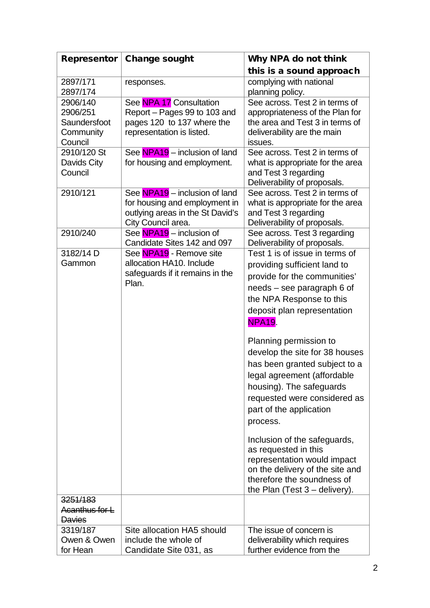| <b>Representor</b>                                           | <b>Change sought</b>                                                                                                     | Why NPA do not think                                                                                                                                                                                                                                                                                                                                                                                                                                                                                                                                                                                                               |
|--------------------------------------------------------------|--------------------------------------------------------------------------------------------------------------------------|------------------------------------------------------------------------------------------------------------------------------------------------------------------------------------------------------------------------------------------------------------------------------------------------------------------------------------------------------------------------------------------------------------------------------------------------------------------------------------------------------------------------------------------------------------------------------------------------------------------------------------|
|                                                              |                                                                                                                          | this is a sound approach                                                                                                                                                                                                                                                                                                                                                                                                                                                                                                                                                                                                           |
| 2897/171<br>2897/174                                         | responses.                                                                                                               | complying with national<br>planning policy.                                                                                                                                                                                                                                                                                                                                                                                                                                                                                                                                                                                        |
| 2906/140<br>2906/251<br>Saundersfoot<br>Community<br>Council | See NPA 17 Consultation<br>Report - Pages 99 to 103 and<br>pages 120 to 137 where the<br>representation is listed.       | See across. Test 2 in terms of<br>appropriateness of the Plan for<br>the area and Test 3 in terms of<br>deliverability are the main<br>issues.                                                                                                                                                                                                                                                                                                                                                                                                                                                                                     |
| 2910/120 St<br>Davids City<br>Council                        | See NPA19 - inclusion of land<br>for housing and employment.                                                             | See across. Test 2 in terms of<br>what is appropriate for the area<br>and Test 3 regarding<br>Deliverability of proposals.                                                                                                                                                                                                                                                                                                                                                                                                                                                                                                         |
| 2910/121                                                     | See NPA19 – inclusion of land<br>for housing and employment in<br>outlying areas in the St David's<br>City Council area. | See across. Test 2 in terms of<br>what is appropriate for the area<br>and Test 3 regarding<br>Deliverability of proposals.                                                                                                                                                                                                                                                                                                                                                                                                                                                                                                         |
| 2910/240                                                     | See NPA19 - inclusion of<br>Candidate Sites 142 and 097                                                                  | See across. Test 3 regarding<br>Deliverability of proposals.                                                                                                                                                                                                                                                                                                                                                                                                                                                                                                                                                                       |
| 3182/14 D<br>Gammon                                          | See NPA19 - Remove site<br>allocation HA10. Include<br>safeguards if it remains in the<br>Plan.                          | Test 1 is of issue in terms of<br>providing sufficient land to<br>provide for the communities'<br>needs – see paragraph 6 of<br>the NPA Response to this<br>deposit plan representation<br><b>NPA19.</b><br>Planning permission to<br>develop the site for 38 houses<br>has been granted subject to a<br>legal agreement (affordable<br>housing). The safeguards<br>requested were considered as<br>part of the application<br>process.<br>Inclusion of the safeguards,<br>as requested in this<br>representation would impact<br>on the delivery of the site and<br>therefore the soundness of<br>the Plan (Test $3$ – delivery). |
| 3251/183<br>Acanthus for L<br><b>Davies</b>                  |                                                                                                                          |                                                                                                                                                                                                                                                                                                                                                                                                                                                                                                                                                                                                                                    |
| 3319/187                                                     | Site allocation HA5 should                                                                                               | The issue of concern is                                                                                                                                                                                                                                                                                                                                                                                                                                                                                                                                                                                                            |
| Owen & Owen<br>for Hean                                      | include the whole of<br>Candidate Site 031, as                                                                           | deliverability which requires<br>further evidence from the                                                                                                                                                                                                                                                                                                                                                                                                                                                                                                                                                                         |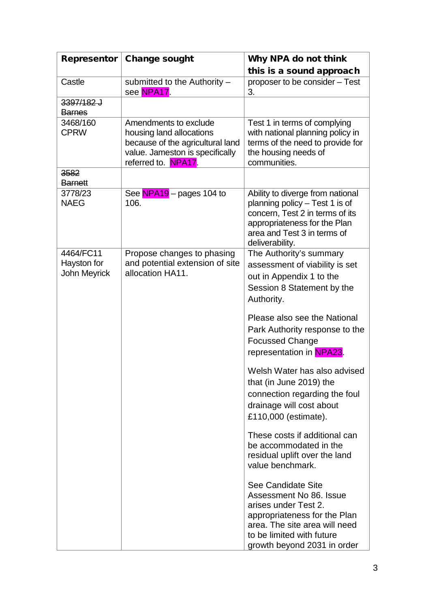| Representor                                     | <b>Change sought</b>                                                                                                                            | Why NPA do not think                                                                                                                                                                               |
|-------------------------------------------------|-------------------------------------------------------------------------------------------------------------------------------------------------|----------------------------------------------------------------------------------------------------------------------------------------------------------------------------------------------------|
|                                                 |                                                                                                                                                 | this is a sound approach                                                                                                                                                                           |
| Castle                                          | submitted to the Authority -<br>see NPA17.                                                                                                      | proposer to be consider - Test<br>3.                                                                                                                                                               |
| 3397/182 J<br><b>Barnes</b>                     |                                                                                                                                                 |                                                                                                                                                                                                    |
| 3468/160<br><b>CPRW</b>                         | Amendments to exclude<br>housing land allocations<br>because of the agricultural land<br>value. Jameston is specifically<br>referred to. NPA17. | Test 1 in terms of complying<br>with national planning policy in<br>terms of the need to provide for<br>the housing needs of<br>communities.                                                       |
| 3582<br><b>Barnett</b>                          |                                                                                                                                                 |                                                                                                                                                                                                    |
| 3778/23<br><b>NAEG</b>                          | See NPA19 - pages 104 to<br>106.                                                                                                                | Ability to diverge from national<br>planning policy - Test 1 is of<br>concern, Test 2 in terms of its<br>appropriateness for the Plan<br>area and Test 3 in terms of<br>deliverability.            |
| 4464/FC11<br>Hayston for<br><b>John Meyrick</b> | Propose changes to phasing<br>and potential extension of site<br>allocation HA11.                                                               | The Authority's summary<br>assessment of viability is set<br>out in Appendix 1 to the<br>Session 8 Statement by the<br>Authority.                                                                  |
|                                                 |                                                                                                                                                 | Please also see the National<br>Park Authority response to the<br><b>Focussed Change</b><br>representation in NPA23.                                                                               |
|                                                 |                                                                                                                                                 | Welsh Water has also advised<br>that (in June 2019) the<br>connection regarding the foul<br>drainage will cost about<br>£110,000 (estimate).                                                       |
|                                                 |                                                                                                                                                 | These costs if additional can<br>be accommodated in the<br>residual uplift over the land<br>value benchmark.                                                                                       |
|                                                 |                                                                                                                                                 | See Candidate Site<br>Assessment No 86, Issue<br>arises under Test 2.<br>appropriateness for the Plan<br>area. The site area will need<br>to be limited with future<br>growth beyond 2031 in order |